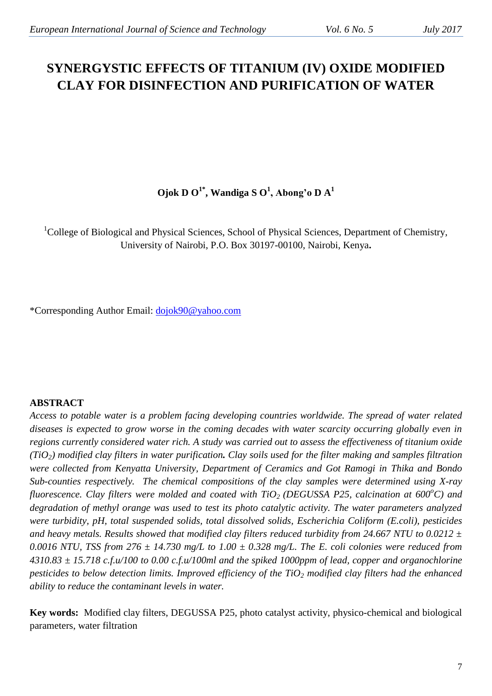# **SYNERGYSTIC EFFECTS OF TITANIUM (IV) OXIDE MODIFIED CLAY FOR DISINFECTION AND PURIFICATION OF WATER**

# **Ojok D O 1\* , Wandiga S O 1 , Abong'o D A<sup>1</sup>**

<sup>1</sup>College of Biological and Physical Sciences, School of Physical Sciences, Department of Chemistry, University of Nairobi, P.O. Box 30197-00100, Nairobi, Kenya**.**

\*Corresponding Author Email: [dojok90@yahoo.com](mailto:dojok90@yahoo.com)

# **ABSTRACT**

Access to potable water is a problem facing developing countries worldwide. The spread of water related *diseases is expected to grow worse in the coming decades with water scarcity occurring globally even in regions currently considered water rich. A study was carried out to assess the effectiveness of titanium oxide (TiO2) modified clay filters in water purification. Clay soils used for the filter making and samples filtration were collected from Kenyatta University, Department of Ceramics and Got Ramogi in Thika and Bondo Sub-counties respectively. The chemical compositions of the clay samples were determined using X-ray fluorescence. Clay filters were molded and coated with TiO2 (DEGUSSA P25, calcination at 600<sup>o</sup>C) and degradation of methyl orange was used to test its photo catalytic activity. The water parameters analyzed were turbidity, pH, total suspended solids, total dissolved solids, Escherichia Coliform (E.coli), pesticides and heavy metals. Results showed that modified clay filters reduced turbidity from 24.667 NTU to 0.0212 ± 0.0016 NTU, TSS from 276 ± 14.730 mg/L to 1.00 ± 0.328 mg/L. The E. coli colonies were reduced from 4310.83 ± 15.718 c.f.u/100 to 0.00 c.f.u/100ml and the spiked 1000ppm of lead, copper and organochlorine pesticides to below detection limits. Improved efficiency of the TiO<sup>2</sup> modified clay filters had the enhanced ability to reduce the contaminant levels in water.*

**Key words:** Modified clay filters, DEGUSSA P25, photo catalyst activity, physico-chemical and biological parameters, water filtration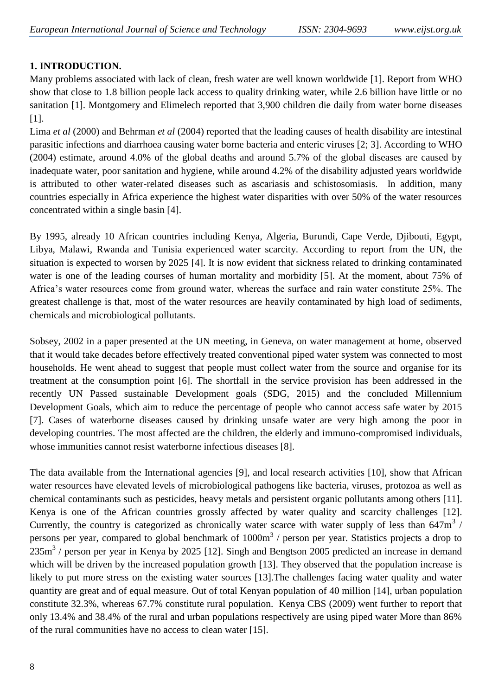# **1. INTRODUCTION.**

Many problems associated with lack of clean, fresh water are well known worldwide [1]. Report from WHO show that close to 1.8 billion people lack access to quality drinking water, while 2.6 billion have little or no sanitation [1]. Montgomery and Elimelech reported that 3,900 children die daily from water borne diseases [1].

Lima *et al* (2000) and Behrman *et al* (2004) reported that the leading causes of health disability are intestinal parasitic infections and diarrhoea causing water borne bacteria and enteric viruses [2; 3]. According to WHO (2004) estimate, around 4.0% of the global deaths and around 5.7% of the global diseases are caused by inadequate water, poor sanitation and hygiene, while around 4.2% of the disability adjusted years worldwide is attributed to other water-related diseases such as ascariasis and schistosomiasis. In addition, many countries especially in Africa experience the highest water disparities with over 50% of the water resources concentrated within a single basin [4].

By 1995, already 10 African countries including Kenya, Algeria, Burundi, Cape Verde, Djibouti, Egypt, Libya, Malawi, Rwanda and Tunisia experienced water scarcity. According to report from the UN, the situation is expected to worsen by 2025 [4]. It is now evident that sickness related to drinking contaminated water is one of the leading courses of human mortality and morbidity [5]. At the moment, about 75% of Africa's water resources come from ground water, whereas the surface and rain water constitute 25%. The greatest challenge is that, most of the water resources are heavily contaminated by high load of sediments, chemicals and microbiological pollutants.

Sobsey, 2002 in a paper presented at the UN meeting, in Geneva, on water management at home, observed that it would take decades before effectively treated conventional piped water system was connected to most households. He went ahead to suggest that people must collect water from the source and organise for its treatment at the consumption point [6]. The shortfall in the service provision has been addressed in the recently UN Passed sustainable Development goals (SDG, 2015) and the concluded Millennium Development Goals, which aim to reduce the percentage of people who cannot access safe water by 2015 [7]. Cases of waterborne diseases caused by drinking unsafe water are very high among the poor in developing countries. The most affected are the children, the elderly and immuno-compromised individuals, whose immunities cannot resist waterborne infectious diseases [8].

The data available from the International agencies [9], and local research activities [10], show that African water resources have elevated levels of microbiological pathogens like bacteria, viruses, protozoa as well as chemical contaminants such as pesticides, heavy metals and persistent organic pollutants among others [11]. Kenya is one of the African countries grossly affected by water quality and scarcity challenges [12]. Currently, the country is categorized as chronically water scarce with water supply of less than  $647m<sup>3</sup>$  / persons per year, compared to global benchmark of  $1000m<sup>3</sup>$  / person per year. Statistics projects a drop to 235m<sup>3</sup> / person per year in Kenya by 2025 [12]. Singh and Bengtson 2005 predicted an increase in demand which will be driven by the increased population growth [13]. They observed that the population increase is likely to put more stress on the existing water sources [13]. The challenges facing water quality and water quantity are great and of equal measure. Out of total Kenyan population of 40 million [14], urban population constitute 32.3%, whereas 67.7% constitute rural population. Kenya CBS (2009) went further to report that only 13.4% and 38.4% of the rural and urban populations respectively are using piped water More than 86% of the rural communities have no access to clean water [15].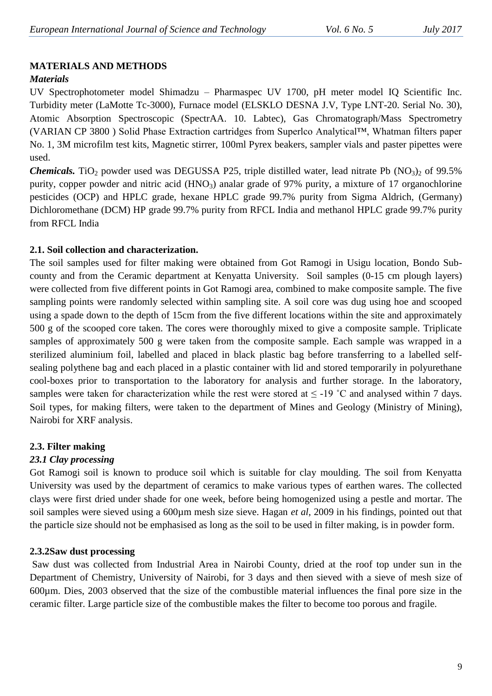## **MATERIALS AND METHODS**

#### *Materials*

UV Spectrophotometer model Shimadzu – Pharmaspec UV 1700, pH meter model IQ Scientific Inc. Turbidity meter (LaMotte Tc-3000), Furnace model (ELSKLO DESNA J.V, Type LNT-20. Serial No. 30), Atomic Absorption Spectroscopic (SpectrAA. 10. Labtec), Gas Chromatograph/Mass Spectrometry (VARIAN CP 3800 ) Solid Phase Extraction cartridges from Superlco Analytical™, Whatman filters paper No. 1, 3M microfilm test kits, Magnetic stirrer, 100ml Pyrex beakers, sampler vials and paster pipettes were used.

*Chemicals.* TiO<sub>2</sub> powder used was DEGUSSA P25, triple distilled water, lead nitrate Pb (NO<sub>3</sub>)<sub>2</sub> of 99.5% purity, copper powder and nitric acid  $(HNO<sub>3</sub>)$  analar grade of 97% purity, a mixture of 17 organochlorine pesticides (OCP) and HPLC grade, hexane HPLC grade 99.7% purity from Sigma Aldrich, (Germany) Dichloromethane (DCM) HP grade 99.7% purity from RFCL India and methanol HPLC grade 99.7% purity from RFCL India

#### **2.1. Soil collection and characterization.**

The soil samples used for filter making were obtained from Got Ramogi in Usigu location, Bondo Subcounty and from the Ceramic department at Kenyatta University. Soil samples (0-15 cm plough layers) were collected from five different points in Got Ramogi area, combined to make composite sample. The five sampling points were randomly selected within sampling site. A soil core was dug using hoe and scooped using a spade down to the depth of 15cm from the five different locations within the site and approximately 500 g of the scooped core taken. The cores were thoroughly mixed to give a composite sample. Triplicate samples of approximately 500 g were taken from the composite sample. Each sample was wrapped in a sterilized aluminium foil, labelled and placed in black plastic bag before transferring to a labelled selfsealing polythene bag and each placed in a plastic container with lid and stored temporarily in polyurethane cool-boxes prior to transportation to the laboratory for analysis and further storage. In the laboratory, samples were taken for characterization while the rest were stored at  $\leq$  -19 °C and analysed within 7 days. Soil types, for making filters, were taken to the department of Mines and Geology (Ministry of Mining), Nairobi for XRF analysis.

## **2.3. Filter making**

## *23.1 Clay processing*

Got Ramogi soil is known to produce soil which is suitable for clay moulding. The soil from Kenyatta University was used by the department of ceramics to make various types of earthen wares. The collected clays were first dried under shade for one week, before being homogenized using a pestle and mortar. The soil samples were sieved using a 600µm mesh size sieve. Hagan *et al,* 2009 in his findings, pointed out that the particle size should not be emphasised as long as the soil to be used in filter making, is in powder form.

#### **2.3.2Saw dust processing**

Saw dust was collected from Industrial Area in Nairobi County, dried at the roof top under sun in the Department of Chemistry, University of Nairobi, for 3 days and then sieved with a sieve of mesh size of 600µm. Dies, 2003 observed that the size of the combustible material influences the final pore size in the ceramic filter. Large particle size of the combustible makes the filter to become too porous and fragile.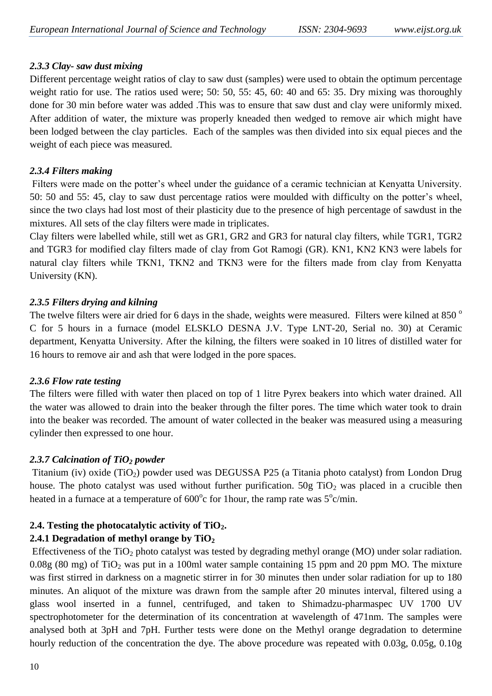## *2.3.3 Clay- saw dust mixing*

Different percentage weight ratios of clay to saw dust (samples) were used to obtain the optimum percentage weight ratio for use. The ratios used were; 50: 50, 55: 45, 60: 40 and 65: 35. Dry mixing was thoroughly done for 30 min before water was added .This was to ensure that saw dust and clay were uniformly mixed. After addition of water, the mixture was properly kneaded then wedged to remove air which might have been lodged between the clay particles. Each of the samples was then divided into six equal pieces and the weight of each piece was measured.

## *2.3.4 Filters making*

Filters were made on the potter's wheel under the guidance of a ceramic technician at Kenyatta University. 50: 50 and 55: 45, clay to saw dust percentage ratios were moulded with difficulty on the potter's wheel, since the two clays had lost most of their plasticity due to the presence of high percentage of sawdust in the mixtures. All sets of the clay filters were made in triplicates.

Clay filters were labelled while, still wet as GR1, GR2 and GR3 for natural clay filters, while TGR1, TGR2 and TGR3 for modified clay filters made of clay from Got Ramogi (GR). KN1, KN2 KN3 were labels for natural clay filters while TKN1, TKN2 and TKN3 were for the filters made from clay from Kenyatta University (KN).

## *2.3.5 Filters drying and kilning*

The twelve filters were air dried for 6 days in the shade, weights were measured. Filters were kilned at 850 ° C for 5 hours in a furnace (model ELSKLO DESNA J.V. Type LNT-20, Serial no. 30) at Ceramic department, Kenyatta University. After the kilning, the filters were soaked in 10 litres of distilled water for 16 hours to remove air and ash that were lodged in the pore spaces.

## *2.3.6 Flow rate testing*

The filters were filled with water then placed on top of 1 litre Pyrex beakers into which water drained. All the water was allowed to drain into the beaker through the filter pores. The time which water took to drain into the beaker was recorded. The amount of water collected in the beaker was measured using a measuring cylinder then expressed to one hour.

# *2.3.7 Calcination of TiO<sup>2</sup> powder*

Titanium (iv) oxide (TiO2) powder used was DEGUSSA P25 (a Titania photo catalyst) from London Drug house. The photo catalyst was used without further purification.  $50g$  TiO<sub>2</sub> was placed in a crucible then heated in a furnace at a temperature of  $600^{\circ}$ c for 1 hour, the ramp rate was  $5^{\circ}$ c/min.

# **2.4. Testing the photocatalytic activity of TiO2.**

# **2.4.1 Degradation of methyl orange by TiO<sup>2</sup>**

Effectiveness of the  $TiO<sub>2</sub>$  photo catalyst was tested by degrading methyl orange (MO) under solar radiation.  $0.08g$  (80 mg) of TiO<sub>2</sub> was put in a 100ml water sample containing 15 ppm and 20 ppm MO. The mixture was first stirred in darkness on a magnetic stirrer in for 30 minutes then under solar radiation for up to 180 minutes. An aliquot of the mixture was drawn from the sample after 20 minutes interval, filtered using a glass wool inserted in a funnel, centrifuged, and taken to Shimadzu-pharmaspec UV 1700 UV spectrophotometer for the determination of its concentration at wavelength of 471nm. The samples were analysed both at 3pH and 7pH. Further tests were done on the Methyl orange degradation to determine hourly reduction of the concentration the dye. The above procedure was repeated with 0.03g, 0.05g, 0.10g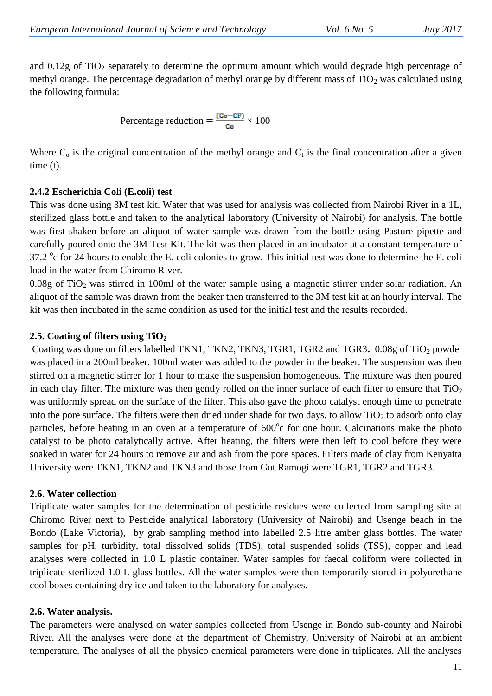and  $0.12g$  of TiO<sub>2</sub> separately to determine the optimum amount which would degrade high percentage of methyl orange. The percentage degradation of methyl orange by different mass of  $TiO<sub>2</sub>$  was calculated using the following formula:

Percentage reduction = 
$$
\frac{(Co - CF)}{Co} \times 100
$$

Where  $C_0$  is the original concentration of the methyl orange and  $C_t$  is the final concentration after a given time (t).

## **2.4.2 Escherichia Coli (E.coli) test**

This was done using 3M test kit. Water that was used for analysis was collected from Nairobi River in a 1L, sterilized glass bottle and taken to the analytical laboratory (University of Nairobi) for analysis. The bottle was first shaken before an aliquot of water sample was drawn from the bottle using Pasture pipette and carefully poured onto the 3M Test Kit. The kit was then placed in an incubator at a constant temperature of 37.2  $\degree$ c for 24 hours to enable the E. coli colonies to grow. This initial test was done to determine the E. coli load in the water from Chiromo River.

 $0.08g$  of TiO<sub>2</sub> was stirred in 100ml of the water sample using a magnetic stirrer under solar radiation. An aliquot of the sample was drawn from the beaker then transferred to the 3M test kit at an hourly interval. The kit was then incubated in the same condition as used for the initial test and the results recorded.

## **2.5. Coating of filters using TiO<sup>2</sup>**

Coating was done on filters labelled TKN1, TKN2, TKN3, TGR1, TGR2 and TGR3. 0.08g of TiO<sub>2</sub> powder was placed in a 200ml beaker. 100ml water was added to the powder in the beaker. The suspension was then stirred on a magnetic stirrer for 1 hour to make the suspension homogeneous. The mixture was then poured in each clay filter. The mixture was then gently rolled on the inner surface of each filter to ensure that  $TiO<sub>2</sub>$ was uniformly spread on the surface of the filter. This also gave the photo catalyst enough time to penetrate into the pore surface. The filters were then dried under shade for two days, to allow  $TiO<sub>2</sub>$  to adsorb onto clay particles, before heating in an oven at a temperature of 600°c for one hour. Calcinations make the photo catalyst to be photo catalytically active. After heating, the filters were then left to cool before they were soaked in water for 24 hours to remove air and ash from the pore spaces. Filters made of clay from Kenyatta University were TKN1, TKN2 and TKN3 and those from Got Ramogi were TGR1, TGR2 and TGR3.

## **2.6. Water collection**

Triplicate water samples for the determination of pesticide residues were collected from sampling site at Chiromo River next to Pesticide analytical laboratory (University of Nairobi) and Usenge beach in the Bondo (Lake Victoria), by grab sampling method into labelled 2.5 litre amber glass bottles. The water samples for pH, turbidity, total dissolved solids (TDS), total suspended solids (TSS), copper and lead analyses were collected in 1.0 L plastic container. Water samples for faecal coliform were collected in triplicate sterilized 1.0 L glass bottles. All the water samples were then temporarily stored in polyurethane cool boxes containing dry ice and taken to the laboratory for analyses.

## **2.6. Water analysis.**

The parameters were analysed on water samples collected from Usenge in Bondo sub-county and Nairobi River. All the analyses were done at the department of Chemistry, University of Nairobi at an ambient temperature. The analyses of all the physico chemical parameters were done in triplicates. All the analyses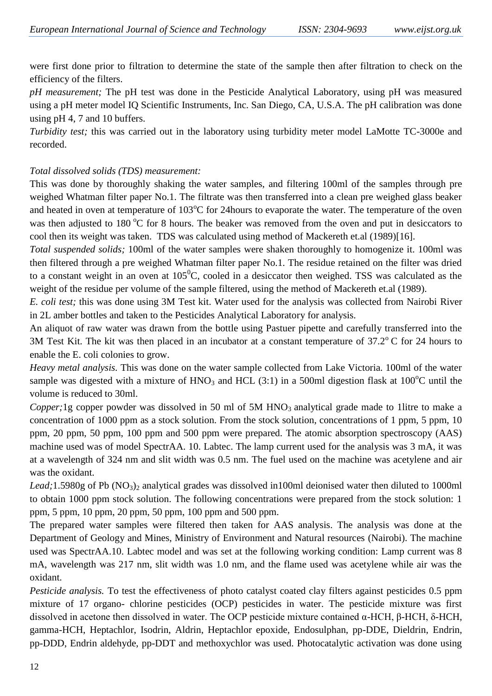were first done prior to filtration to determine the state of the sample then after filtration to check on the efficiency of the filters.

*pH measurement;* The pH test was done in the Pesticide Analytical Laboratory, using pH was measured using a pH meter model IQ Scientific Instruments, Inc. San Diego, CA, U.S.A. The pH calibration was done using pH 4, 7 and 10 buffers.

*Turbidity test;* this was carried out in the laboratory using turbidity meter model LaMotte TC-3000e and recorded.

#### *Total dissolved solids (TDS) measurement:*

This was done by thoroughly shaking the water samples, and filtering 100ml of the samples through pre weighed Whatman filter paper No.1. The filtrate was then transferred into a clean pre weighed glass beaker and heated in oven at temperature of  $103^{\circ}$ C for 24 hours to evaporate the water. The temperature of the oven was then adjusted to 180 °C for 8 hours. The beaker was removed from the oven and put in desiccators to cool then its weight was taken. TDS was calculated using method of Mackereth et.al (1989)[16].

*Total suspended solids;* 100ml of the water samples were shaken thoroughly to homogenize it. 100ml was then filtered through a pre weighed Whatman filter paper No.1. The residue retained on the filter was dried to a constant weight in an oven at  $105^{\circ}$ C, cooled in a desiccator then weighed. TSS was calculated as the weight of the residue per volume of the sample filtered, using the method of Mackereth et.al (1989).

*E. coli test;* this was done using 3M Test kit. Water used for the analysis was collected from Nairobi River in 2L amber bottles and taken to the Pesticides Analytical Laboratory for analysis.

An aliquot of raw water was drawn from the bottle using Pastuer pipette and carefully transferred into the 3M Test Kit. The kit was then placed in an incubator at a constant temperature of  $37.2^{\circ}$  C for 24 hours to enable the E. coli colonies to grow.

*Heavy metal analysis.* This was done on the water sample collected from Lake Victoria. 100ml of the water sample was digested with a mixture of  $HNO<sub>3</sub>$  and HCL (3:1) in a 500ml digestion flask at 100<sup>o</sup>C until the volume is reduced to 30ml.

*Copper*; 1g copper powder was dissolved in 50 ml of 5M HNO<sub>3</sub> analytical grade made to 1litre to make a concentration of 1000 ppm as a stock solution. From the stock solution, concentrations of 1 ppm, 5 ppm, 10 ppm, 20 ppm, 50 ppm, 100 ppm and 500 ppm were prepared. The atomic absorption spectroscopy (AAS) machine used was of model SpectrAA. 10. Labtec. The lamp current used for the analysis was 3 mA, it was at a wavelength of 324 nm and slit width was 0.5 nm. The fuel used on the machine was acetylene and air was the oxidant.

Lead;1.5980g of Pb (NO<sub>3</sub>)<sub>2</sub> analytical grades was dissolved in100ml deionised water then diluted to 1000ml to obtain 1000 ppm stock solution. The following concentrations were prepared from the stock solution: 1 ppm, 5 ppm, 10 ppm, 20 ppm, 50 ppm, 100 ppm and 500 ppm.

The prepared water samples were filtered then taken for AAS analysis. The analysis was done at the Department of Geology and Mines, Ministry of Environment and Natural resources (Nairobi). The machine used was SpectrAA.10. Labtec model and was set at the following working condition: Lamp current was 8 mA, wavelength was 217 nm, slit width was 1.0 nm, and the flame used was acetylene while air was the oxidant.

*Pesticide analysis.* To test the effectiveness of photo catalyst coated clay filters against pesticides 0.5 ppm mixture of 17 organo- chlorine pesticides (OCP) pesticides in water. The pesticide mixture was first dissolved in acetone then dissolved in water. The OCP pesticide mixture contained α-HCH, β-HCH, δ-HCH, gamma-HCH, Heptachlor, Isodrin, Aldrin, Heptachlor epoxide, Endosulphan, pp-DDE, Dieldrin, Endrin, pp-DDD, Endrin aldehyde, pp-DDT and methoxychlor was used. Photocatalytic activation was done using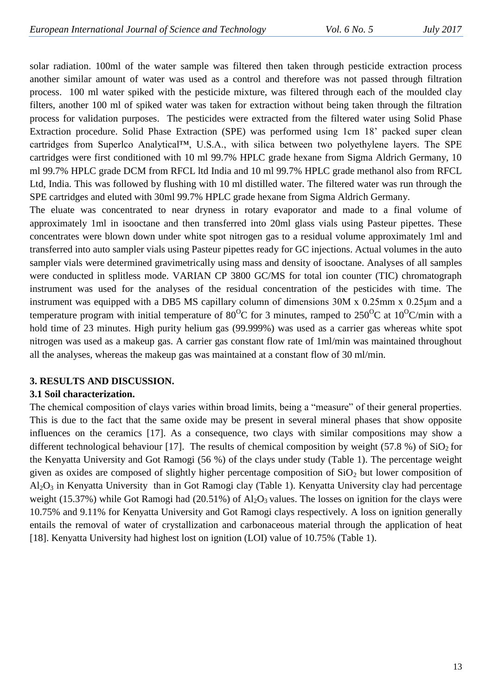solar radiation. 100ml of the water sample was filtered then taken through pesticide extraction process another similar amount of water was used as a control and therefore was not passed through filtration process. 100 ml water spiked with the pesticide mixture, was filtered through each of the moulded clay filters, another 100 ml of spiked water was taken for extraction without being taken through the filtration process for validation purposes. The pesticides were extracted from the filtered water using Solid Phase Extraction procedure. Solid Phase Extraction (SPE) was performed using 1cm 18' packed super clean cartridges from Superlco Analytical™, U.S.A., with silica between two polyethylene layers. The SPE cartridges were first conditioned with 10 ml 99.7% HPLC grade hexane from Sigma Aldrich Germany, 10 ml 99.7% HPLC grade DCM from RFCL ltd India and 10 ml 99.7% HPLC grade methanol also from RFCL Ltd, India. This was followed by flushing with 10 ml distilled water. The filtered water was run through the SPE cartridges and eluted with 30ml 99.7% HPLC grade hexane from Sigma Aldrich Germany.

The eluate was concentrated to near dryness in rotary evaporator and made to a final volume of approximately 1ml in isooctane and then transferred into 20ml glass vials using Pasteur pipettes. These concentrates were blown down under white spot nitrogen gas to a residual volume approximately 1ml and transferred into auto sampler vials using Pasteur pipettes ready for GC injections. Actual volumes in the auto sampler vials were determined gravimetrically using mass and density of isooctane. Analyses of all samples were conducted in splitless mode. VARIAN CP 3800 GC/MS for total ion counter (TIC) chromatograph instrument was used for the analyses of the residual concentration of the pesticides with time. The instrument was equipped with a DB5 MS capillary column of dimensions 30M x 0.25mm x 0.25μm and a temperature program with initial temperature of 80<sup>o</sup>C for 3 minutes, ramped to 250<sup>o</sup>C at 10<sup>o</sup>C/min with a hold time of 23 minutes. High purity helium gas (99.999%) was used as a carrier gas whereas white spot nitrogen was used as a makeup gas. A carrier gas constant flow rate of 1ml/min was maintained throughout all the analyses, whereas the makeup gas was maintained at a constant flow of 30 ml/min.

## **3. RESULTS AND DISCUSSION.**

#### **3.1 Soil characterization.**

The chemical composition of clays varies within broad limits, being a "measure" of their general properties. This is due to the fact that the same oxide may be present in several mineral phases that show opposite influences on the ceramics [17]. As a consequence, two clays with similar compositions may show a different technological behaviour [17]. The results of chemical composition by weight (57.8 %) of  $SiO<sub>2</sub>$  for the Kenyatta University and Got Ramogi (56 %) of the clays under study (Table 1). The percentage weight given as oxides are composed of slightly higher percentage composition of  $SiO<sub>2</sub>$  but lower composition of  $Al_2O_3$  in Kenyatta University than in Got Ramogi clay (Table 1). Kenyatta University clay had percentage weight (15.37%) while Got Ramogi had (20.51%) of  $Al_2O_3$  values. The losses on ignition for the clays were 10.75% and 9.11% for Kenyatta University and Got Ramogi clays respectively. A loss on ignition generally entails the removal of water of crystallization and carbonaceous material through the application of heat [18]. Kenyatta University had highest lost on ignition (LOI) value of 10.75% (Table 1).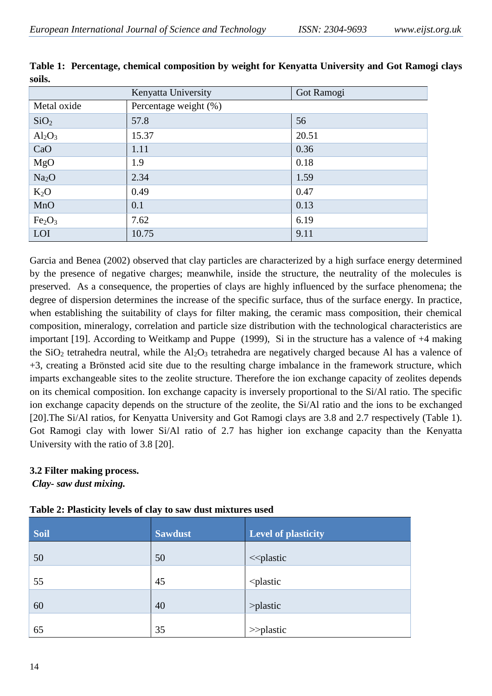|                                | Kenyatta University   | Got Ramogi |  |  |  |
|--------------------------------|-----------------------|------------|--|--|--|
| Metal oxide                    | Percentage weight (%) |            |  |  |  |
| SiO <sub>2</sub>               | 57.8                  | 56         |  |  |  |
| $Al_2O_3$                      | 15.37                 | 20.51      |  |  |  |
| CaO                            | 1.11                  | 0.36       |  |  |  |
| MgO                            | 1.9                   | 0.18       |  |  |  |
| Na <sub>2</sub> O              | 2.34                  | 1.59       |  |  |  |
| $K_2O$                         | 0.49                  | 0.47       |  |  |  |
| MnO                            | 0.1                   | 0.13       |  |  |  |
| Fe <sub>2</sub> O <sub>3</sub> | 7.62                  | 6.19       |  |  |  |
| LOI                            | 10.75                 | 9.11       |  |  |  |

**Table 1: Percentage, chemical composition by weight for Kenyatta University and Got Ramogi clays soils.**

Garcia and Benea (2002) observed that clay particles are characterized by a high surface energy determined by the presence of negative charges; meanwhile, inside the structure, the neutrality of the molecules is preserved. As a consequence, the properties of clays are highly influenced by the surface phenomena; the degree of dispersion determines the increase of the specific surface, thus of the surface energy. In practice, when establishing the suitability of clays for filter making, the ceramic mass composition, their chemical composition, mineralogy, correlation and particle size distribution with the technological characteristics are important [19]. According to Weitkamp and Puppe (1999), Si in the structure has a valence of +4 making the  $SiO<sub>2</sub>$  tetrahedra neutral, while the  $Al<sub>2</sub>O<sub>3</sub>$  tetrahedra are negatively charged because Al has a valence of +3, creating a Brönsted acid site due to the resulting charge imbalance in the framework structure, which imparts exchangeable sites to the zeolite structure. Therefore the ion exchange capacity of zeolites depends on its chemical composition. Ion exchange capacity is inversely proportional to the Si/Al ratio. The specific ion exchange capacity depends on the structure of the zeolite, the Si/Al ratio and the ions to be exchanged [20].The Si/Al ratios, for Kenyatta University and Got Ramogi clays are 3.8 and 2.7 respectively (Table 1). Got Ramogi clay with lower Si/Al ratio of 2.7 has higher ion exchange capacity than the Kenyatta University with the ratio of 3.8 [20].

#### **3.2 Filter making process.**

*Clay- saw dust mixing.*

|  |  | Table 2: Plasticity levels of clay to saw dust mixtures used |  |  |  |  |  |  |
|--|--|--------------------------------------------------------------|--|--|--|--|--|--|
|--|--|--------------------------------------------------------------|--|--|--|--|--|--|

| <b>Soil</b> | <b>Sawdust</b> | <b>Level of plasticity</b>  |
|-------------|----------------|-----------------------------|
| 50          | 50             | <<br>plastic                |
| 55          | 45             | <plastic< td=""></plastic<> |
| 60          | 40             | >plastic                    |
| 65          | 35             | $\gg$ plastic               |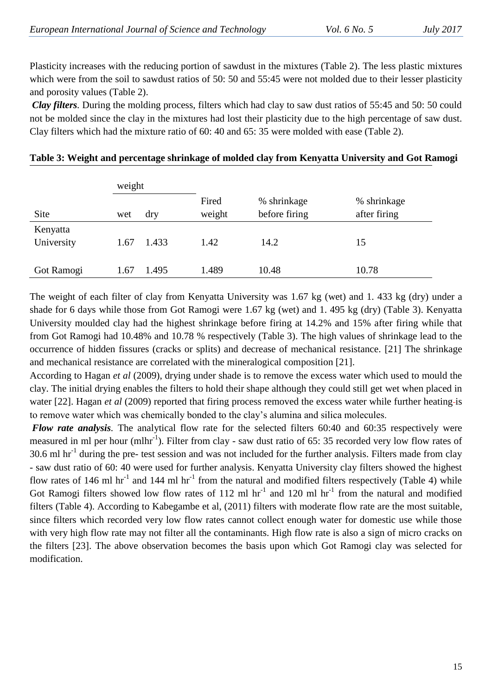Plasticity increases with the reducing portion of sawdust in the mixtures (Table 2). The less plastic mixtures which were from the soil to sawdust ratios of 50: 50 and 55:45 were not molded due to their lesser plasticity and porosity values (Table 2).

*Clay filters.* During the molding process, filters which had clay to saw dust ratios of 55:45 and 50: 50 could not be molded since the clay in the mixtures had lost their plasticity due to the high percentage of saw dust. Clay filters which had the mixture ratio of 60: 40 and 65: 35 were molded with ease (Table 2).

|                        | weight |       |                 |                              |                             |
|------------------------|--------|-------|-----------------|------------------------------|-----------------------------|
| Site                   | wet    | dry   | Fired<br>weight | % shrinkage<br>before firing | % shrinkage<br>after firing |
| Kenyatta<br>University | 1.67   | 1.433 | 1.42            | 14.2                         | 15                          |
| Got Ramogi             | 1.67   | 1.495 | 1.489           | 10.48                        | 10.78                       |

#### **Table 3: Weight and percentage shrinkage of molded clay from Kenyatta University and Got Ramogi**

The weight of each filter of clay from Kenyatta University was 1.67 kg (wet) and 1. 433 kg (dry) under a shade for 6 days while those from Got Ramogi were 1.67 kg (wet) and 1. 495 kg (dry) (Table 3). Kenyatta University moulded clay had the highest shrinkage before firing at 14.2% and 15% after firing while that from Got Ramogi had 10.48% and 10.78 % respectively (Table 3). The high values of shrinkage lead to the occurrence of hidden fissures (cracks or splits) and decrease of mechanical resistance. [21] The shrinkage and mechanical resistance are correlated with the mineralogical composition [21].

According to Hagan *et al* (2009), drying under shade is to remove the excess water which used to mould the clay. The initial drying enables the filters to hold their shape although they could still get wet when placed in water [22]. Hagan *et al* (2009) reported that firing process removed the excess water while further heating-is to remove water which was chemically bonded to the clay's alumina and silica molecules.

*Flow rate analysis.* The analytical flow rate for the selected filters 60:40 and 60:35 respectively were measured in ml per hour (mlhr<sup>-1</sup>). Filter from clay - saw dust ratio of 65: 35 recorded very low flow rates of 30.6 ml  $\text{hr}^{-1}$  during the pre- test session and was not included for the further analysis. Filters made from clay - saw dust ratio of 60: 40 were used for further analysis. Kenyatta University clay filters showed the highest flow rates of 146 ml hr<sup>-1</sup> and 144 ml hr<sup>-1</sup> from the natural and modified filters respectively (Table 4) while Got Ramogi filters showed low flow rates of 112 ml  $hr^{-1}$  and 120 ml  $hr^{-1}$  from the natural and modified filters (Table 4). According to Kabegambe et al, (2011) filters with moderate flow rate are the most suitable, since filters which recorded very low flow rates cannot collect enough water for domestic use while those with very high flow rate may not filter all the contaminants. High flow rate is also a sign of micro cracks on the filters [23]. The above observation becomes the basis upon which Got Ramogi clay was selected for modification.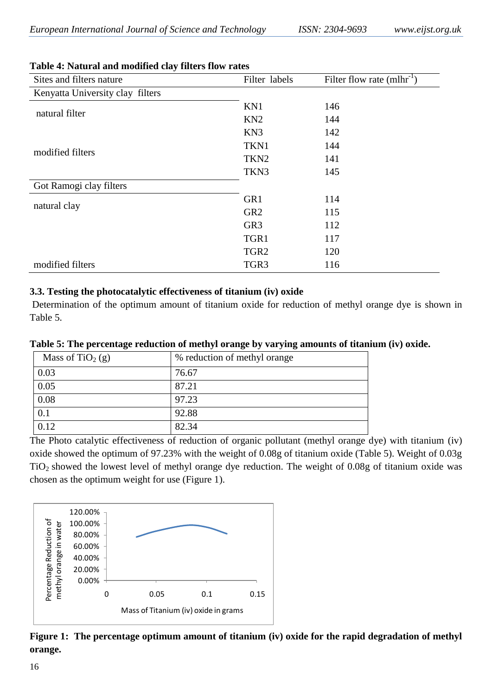| Sites and filters nature         | Filter labels    | Filter flow rate $(mh/r^{-1})$ |
|----------------------------------|------------------|--------------------------------|
| Kenyatta University clay filters |                  |                                |
| natural filter                   | KN1              | 146                            |
|                                  | KN <sub>2</sub>  | 144                            |
|                                  | KN3              | 142                            |
|                                  | TKN1             | 144                            |
| modified filters                 | TKN <sub>2</sub> | 141                            |
|                                  | TKN3             | 145                            |
| Got Ramogi clay filters          |                  |                                |
|                                  | GR1              | 114                            |
| natural clay                     | GR <sub>2</sub>  | 115                            |
|                                  | GR <sub>3</sub>  | 112                            |
|                                  | TGR1             | 117                            |
|                                  | TGR <sub>2</sub> | 120                            |
| modified filters                 | TGR <sub>3</sub> | 116                            |

#### **Table 4: Natural and modified clay filters flow rates**

#### **3.3. Testing the photocatalytic effectiveness of titanium (iv) oxide**

Determination of the optimum amount of titanium oxide for reduction of methyl orange dye is shown in Table 5.

| Table 5: The percentage reduction of methyl orange by varying amounts of titanium (iv) oxide. |  |  |  |  |
|-----------------------------------------------------------------------------------------------|--|--|--|--|

| Mass of TiO <sub>2</sub> (g) | % reduction of methyl orange |
|------------------------------|------------------------------|
| 0.03                         | 76.67                        |
| 0.05                         | 87.21                        |
| 0.08                         | 97.23                        |
| 0.1                          | 92.88                        |
| 0.12                         | 82.34                        |

The Photo catalytic effectiveness of reduction of organic pollutant (methyl orange dye) with titanium (iv) oxide showed the optimum of 97.23% with the weight of 0.08g of titanium oxide (Table 5). Weight of 0.03g TiO2 showed the lowest level of methyl orange dye reduction. The weight of 0.08g of titanium oxide was chosen as the optimum weight for use (Figure 1).



**Figure 1: The percentage optimum amount of titanium (iv) oxide for the rapid degradation of methyl orange.**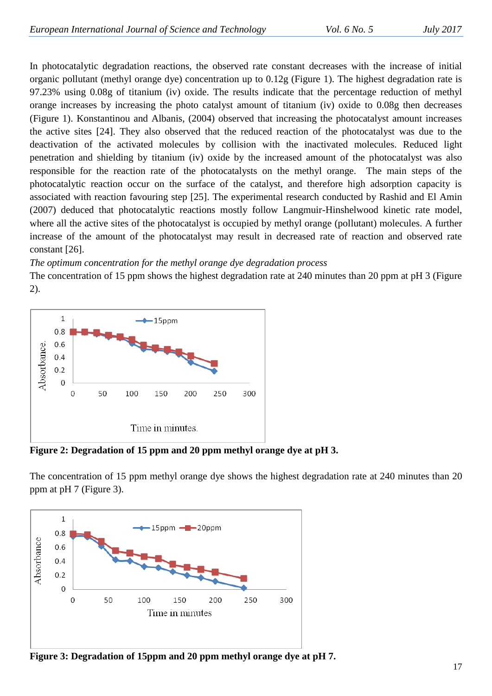In photocatalytic degradation reactions, the observed rate constant decreases with the increase of initial organic pollutant (methyl orange dye) concentration up to 0.12g (Figure 1). The highest degradation rate is 97.23% using 0.08g of titanium (iv) oxide. The results indicate that the percentage reduction of methyl orange increases by increasing the photo catalyst amount of titanium (iv) oxide to 0.08g then decreases (Figure 1). Konstantinou and Albanis, (2004) observed that increasing the photocatalyst amount increases the active sites [24]. They also observed that the reduced reaction of the photocatalyst was due to the deactivation of the activated molecules by collision with the inactivated molecules. Reduced light penetration and shielding by titanium (iv) oxide by the increased amount of the photocatalyst was also responsible for the reaction rate of the photocatalysts on the methyl orange. The main steps of the photocatalytic reaction occur on the surface of the catalyst, and therefore high adsorption capacity is associated with reaction favouring step [25]. The experimental research conducted by Rashid and El Amin (2007) deduced that photocatalytic reactions mostly follow Langmuir-Hinshelwood kinetic rate model, where all the active sites of the photocatalyst is occupied by methyl orange (pollutant) molecules. A further increase of the amount of the photocatalyst may result in decreased rate of reaction and observed rate constant [26].

*The optimum concentration for the methyl orange dye degradation process*

The concentration of 15 ppm shows the highest degradation rate at 240 minutes than 20 ppm at pH 3 (Figure 2).



**Figure 2: Degradation of 15 ppm and 20 ppm methyl orange dye at pH 3.** 

The concentration of 15 ppm methyl orange dye shows the highest degradation rate at 240 minutes than 20 ppm at pH 7 (Figure 3).



**Figure 3: Degradation of 15ppm and 20 ppm methyl orange dye at pH 7.**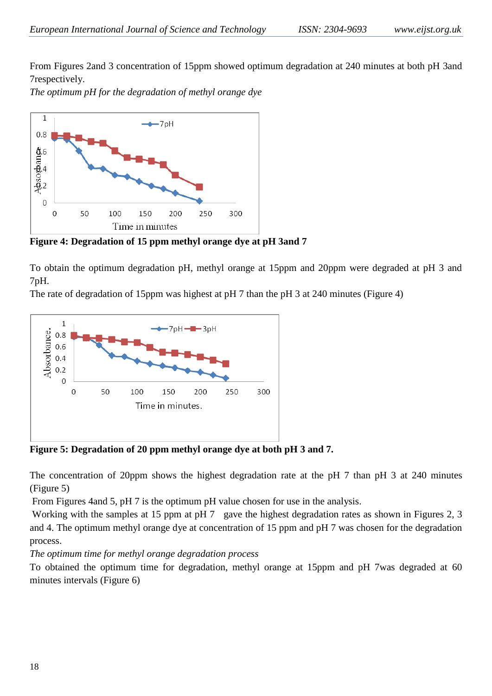From Figures 2and 3 concentration of 15ppm showed optimum degradation at 240 minutes at both pH 3and 7respectively.

*The optimum pH for the degradation of methyl orange dye* 



**Figure 4: Degradation of 15 ppm methyl orange dye at pH 3and 7**

To obtain the optimum degradation pH, methyl orange at 15ppm and 20ppm were degraded at pH 3 and 7pH.

The rate of degradation of 15ppm was highest at pH 7 than the pH 3 at 240 minutes (Figure 4)



**Figure 5: Degradation of 20 ppm methyl orange dye at both pH 3 and 7.**

The concentration of 20ppm shows the highest degradation rate at the pH 7 than pH 3 at 240 minutes (Figure 5)

From Figures 4and 5, pH 7 is the optimum pH value chosen for use in the analysis.

Working with the samples at 15 ppm at pH 7 gave the highest degradation rates as shown in Figures 2, 3 and 4. The optimum methyl orange dye at concentration of 15 ppm and pH 7 was chosen for the degradation process.

*The optimum time for methyl orange degradation process*

To obtained the optimum time for degradation, methyl orange at 15ppm and pH 7was degraded at 60 minutes intervals (Figure 6)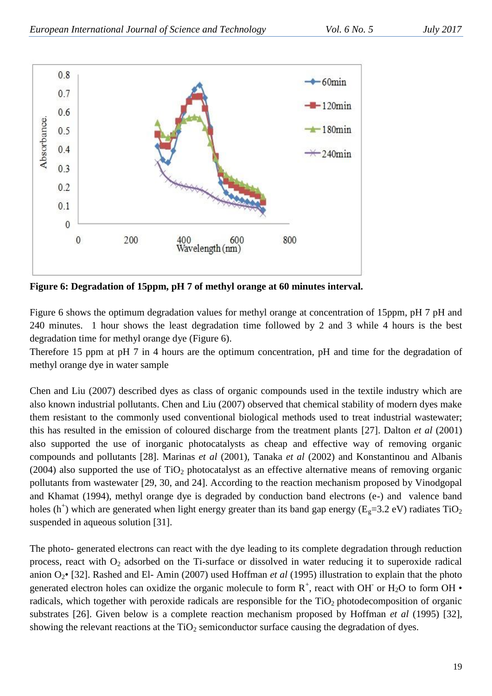

**Figure 6: Degradation of 15ppm, pH 7 of methyl orange at 60 minutes interval.** 

Figure 6 shows the optimum degradation values for methyl orange at concentration of 15ppm, pH 7 pH and 240 minutes. 1 hour shows the least degradation time followed by 2 and 3 while 4 hours is the best degradation time for methyl orange dye (Figure 6).

Therefore 15 ppm at pH 7 in 4 hours are the optimum concentration, pH and time for the degradation of methyl orange dye in water sample

Chen and Liu (2007) described dyes as class of organic compounds used in the textile industry which are also known industrial pollutants. Chen and Liu (2007) observed that chemical stability of modern dyes make them resistant to the commonly used conventional biological methods used to treat industrial wastewater; this has resulted in the emission of coloured discharge from the treatment plants [27]. Dalton *et al* (2001) also supported the use of inorganic photocatalysts as cheap and effective way of removing organic compounds and pollutants [28]. Marinas *et al* (2001), Tanaka *et al* (2002) and Konstantinou and Albanis (2004) also supported the use of  $TiO<sub>2</sub>$  photocatalyst as an effective alternative means of removing organic pollutants from wastewater [29, 30, and 24]. According to the reaction mechanism proposed by Vinodgopal and Khamat (1994), methyl orange dye is degraded by conduction band electrons (e-) and valence band holes (h<sup>+</sup>) which are generated when light energy greater than its band gap energy ( $E<sub>g</sub>=3.2$  eV) radiates TiO<sub>2</sub> suspended in aqueous solution [31].

The photo- generated electrons can react with the dye leading to its complete degradation through reduction process, react with  $O_2$  adsorbed on the Ti-surface or dissolved in water reducing it to superoxide radical anion O2• [32]. Rashed and El- Amin (2007) used Hoffman *et al* (1995) illustration to explain that the photo generated electron holes can oxidize the organic molecule to form  $R^+$ , react with OH or H<sub>2</sub>O to form OH  $\cdot$ radicals, which together with peroxide radicals are responsible for the  $TiO<sub>2</sub>$  photodecomposition of organic substrates [26]. Given below is a complete reaction mechanism proposed by Hoffman *et al* (1995) [32], showing the relevant reactions at the  $TiO<sub>2</sub>$  semiconductor surface causing the degradation of dyes.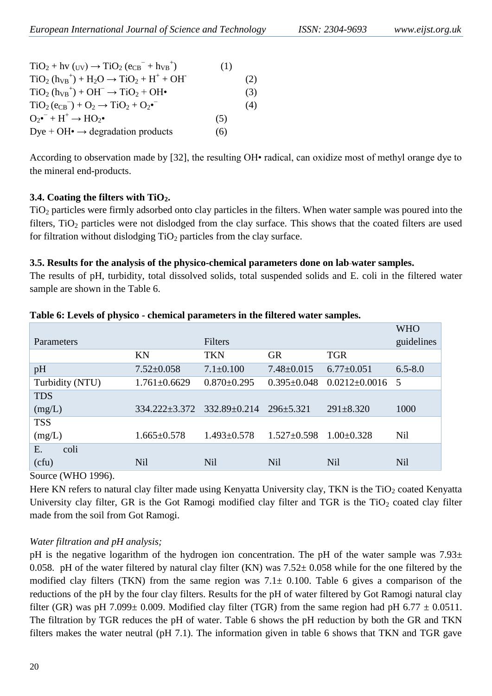| $TiO2 + hy (uy) \rightarrow TiO2 (eCB- + hVB+)$     | (1) |     |
|-----------------------------------------------------|-----|-----|
| $TiO2 (hVB+) + H2O \rightarrow TiO2 + H+ + OH-$     |     | (2) |
| $TiO2 (hVB+) + OH- \rightarrow TiO2 + OH•$          |     | (3) |
| $TiO2(eCB) + O2 \rightarrow TiO2 + O2$ <sup>-</sup> |     | (4) |
| $O_2\bullet^- + H^+ \rightarrow HO_2\bullet$        | (5) |     |
| Dye + OH $\bullet \rightarrow$ degradation products | (6) |     |

According to observation made by [32], the resulting OH• radical, can oxidize most of methyl orange dye to the mineral end-products.

#### **3.4. Coating the filters with TiO2.**

TiO<sup>2</sup> particles were firmly adsorbed onto clay particles in the filters. When water sample was poured into the filters, TiO<sub>2</sub> particles were not dislodged from the clay surface. This shows that the coated filters are used for filtration without dislodging  $TiO<sub>2</sub>$  particles from the clay surface.

#### **3.5. Results for the analysis of the physico-chemical parameters done on lab water samples.**

The results of pH, turbidity, total dissolved solids, total suspended solids and E. coli in the filtered water sample are shown in the Table 6.

|                 |                            |                   |                   |                       | <b>WHO</b>  |
|-----------------|----------------------------|-------------------|-------------------|-----------------------|-------------|
| Parameters      |                            | Filters           |                   |                       | guidelines  |
|                 | KN                         | <b>TKN</b>        | <b>GR</b>         | <b>TGR</b>            |             |
| pH              | $7.52 \pm 0.058$           | $7.1 \pm 0.100$   | $7.48 \pm 0.015$  | $6.77 \pm 0.051$      | $6.5 - 8.0$ |
| Turbidity (NTU) | $1.761 \pm 0.6629$         | $0.870 \pm 0.295$ | $0.395 \pm 0.048$ | $0.0212 \pm 0.0016$ 5 |             |
| <b>TDS</b>      |                            |                   |                   |                       |             |
| (mg/L)          | 334.222±3.372 332.89±0.214 |                   | $296 \pm 5.321$   | $291 \pm 8.320$       | 1000        |
| <b>TSS</b>      |                            |                   |                   |                       |             |
| (mg/L)          | $1.665 \pm 0.578$          | $1.493 \pm 0.578$ | $1.527 \pm 0.598$ | $1.00 + 0.328$        | Nil         |
| coli<br>E.      |                            |                   |                   |                       |             |
| (cfu)           | Nil                        | Nil               | Nil               | Nil                   | Nil         |

#### **Table 6: Levels of physico - chemical parameters in the filtered water samples.**

#### Source (WHO 1996).

Here KN refers to natural clay filter made using Kenyatta University clay, TKN is the  $TiO<sub>2</sub>$  coated Kenyatta University clay filter, GR is the Got Ramogi modified clay filter and TGR is the  $TiO<sub>2</sub>$  coated clay filter made from the soil from Got Ramogi.

#### *Water filtration and pH analysis;*

pH is the negative logarithm of the hydrogen ion concentration. The pH of the water sample was  $7.93\pm$ 0.058. pH of the water filtered by natural clay filter (KN) was  $7.52 \pm 0.058$  while for the one filtered by the modified clay filters (TKN) from the same region was  $7.1\pm 0.100$ . Table 6 gives a comparison of the reductions of the pH by the four clay filters. Results for the pH of water filtered by Got Ramogi natural clay filter (GR) was pH 7.099 $\pm$  0.009. Modified clay filter (TGR) from the same region had pH 6.77  $\pm$  0.0511. The filtration by TGR reduces the pH of water. Table 6 shows the pH reduction by both the GR and TKN filters makes the water neutral (pH 7.1). The information given in table 6 shows that TKN and TGR gave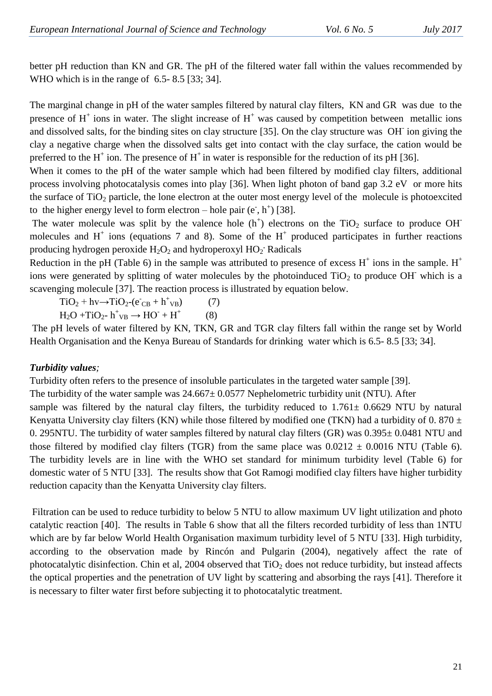better pH reduction than KN and GR. The pH of the filtered water fall within the values recommended by WHO which is in the range of 6.5- 8.5 [33; 34].

The marginal change in pH of the water samples filtered by natural clay filters, KN and GR was due to the presence of  $H^+$  ions in water. The slight increase of  $H^+$  was caused by competition between metallic ions and dissolved salts, for the binding sites on clay structure [35]. On the clay structure was OH ion giving the clay a negative charge when the dissolved salts get into contact with the clay surface, the cation would be preferred to the H<sup>+</sup> ion. The presence of H<sup>+</sup> in water is responsible for the reduction of its pH [36].

When it comes to the pH of the water sample which had been filtered by modified clay filters, additional process involving photocatalysis comes into play [36]. When light photon of band gap 3.2 eV or more hits the surface of  $TiO<sub>2</sub>$  particle, the lone electron at the outer most energy level of the molecule is photoexcited to the higher energy level to form electron – hole pair  $(e^-, h^+)$  [38].

The water molecule was split by the valence hole  $(h<sup>+</sup>)$  electrons on the TiO<sub>2</sub> surface to produce OH molecules and  $H^+$  ions (equations 7 and 8). Some of the  $H^+$  produced participates in further reactions producing hydrogen peroxide H<sub>2</sub>O<sub>2</sub> and hydroperoxyl HO<sub>2</sub>. Radicals

Reduction in the pH (Table 6) in the sample was attributed to presence of excess  $H^+$  ions in the sample.  $H^+$ ions were generated by splitting of water molecules by the photoinduced  $TiO<sub>2</sub>$  to produce OH which is a scavenging molecule [37]. The reaction process is illustrated by equation below.

 $TiO_2 + hv \rightarrow TiO_2 - (e^-_{CB} + h^+_{VB})$  (7)  $H_2O + TiO_2$ -  $h^+{}_{VB} \rightarrow HO^- + H^+$ (8)

The pH levels of water filtered by KN, TKN, GR and TGR clay filters fall within the range set by World Health Organisation and the Kenya Bureau of Standards for drinking water which is 6.5- 8.5 [33; 34].

# *Turbidity values;*

Turbidity often refers to the presence of insoluble particulates in the targeted water sample [39]. The turbidity of the water sample was  $24.667 \pm 0.0577$  Nephelometric turbidity unit (NTU). After sample was filtered by the natural clay filters, the turbidity reduced to 1.761 $\pm$  0.6629 NTU by natural Kenyatta University clay filters (KN) while those filtered by modified one (TKN) had a turbidity of 0.870  $\pm$ 0. 295NTU. The turbidity of water samples filtered by natural clay filters (GR) was 0.395± 0.0481 NTU and those filtered by modified clay filters (TGR) from the same place was  $0.0212 \pm 0.0016$  NTU (Table 6). The turbidity levels are in line with the WHO set standard for minimum turbidity level (Table 6) for domestic water of 5 NTU [33]. The results show that Got Ramogi modified clay filters have higher turbidity reduction capacity than the Kenyatta University clay filters.

Filtration can be used to reduce turbidity to below 5 NTU to allow maximum UV light utilization and photo catalytic reaction [40]. The results in Table 6 show that all the filters recorded turbidity of less than 1NTU which are by far below World Health Organisation maximum turbidity level of 5 NTU [33]. High turbidity, according to the observation made by Rincón and Pulgarin (2004), negatively affect the rate of photocatalytic disinfection. Chin et al,  $2004$  observed that  $TiO<sub>2</sub>$  does not reduce turbidity, but instead affects the optical properties and the penetration of UV light by scattering and absorbing the rays [41]. Therefore it is necessary to filter water first before subjecting it to photocatalytic treatment.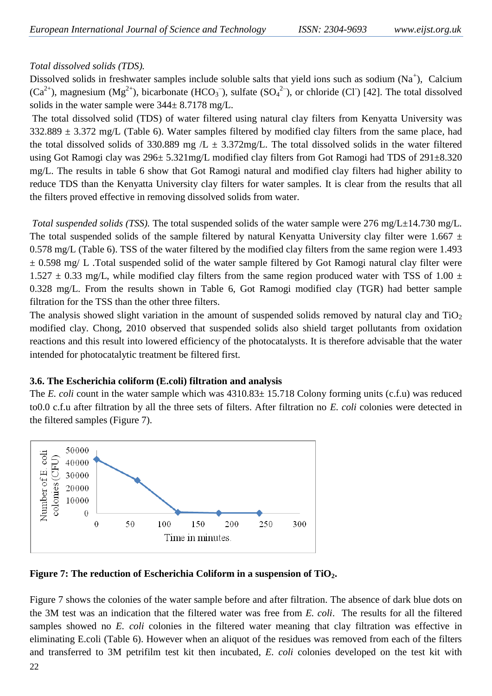## *Total dissolved solids (TDS).*

Dissolved solids in freshwater samples include soluble salts that yield ions such as sodium  $(Na^+)$ , Calcium  $(Ca^{2+})$ , magnesium  $(Mg^{2+})$ , bicarbonate  $(HCO_3^-)$ , sulfate  $(SO_4^2^-)$ , or chloride  $(CI)$  [42]. The total dissolved solids in the water sample were  $344 \pm 8.7178$  mg/L.

The total dissolved solid (TDS) of water filtered using natural clay filters from Kenyatta University was  $332.889 \pm 3.372$  mg/L (Table 6). Water samples filtered by modified clay filters from the same place, had the total dissolved solids of 330.889 mg  $/L \pm 3.372$  mg/L. The total dissolved solids in the water filtered using Got Ramogi clay was 296± 5.321mg/L modified clay filters from Got Ramogi had TDS of 291±8.320 mg/L. The results in table 6 show that Got Ramogi natural and modified clay filters had higher ability to reduce TDS than the Kenyatta University clay filters for water samples. It is clear from the results that all the filters proved effective in removing dissolved solids from water.

*Total suspended solids (TSS).* The total suspended solids of the water sample were 276 mg/L $\pm$ 14.730 mg/L. The total suspended solids of the sample filtered by natural Kenyatta University clay filter were 1.667  $\pm$ 0.578 mg/L (Table 6). TSS of the water filtered by the modified clay filters from the same region were 1.493  $\pm$  0.598 mg/ L. Total suspended solid of the water sample filtered by Got Ramogi natural clay filter were  $1.527 \pm 0.33$  mg/L, while modified clay filters from the same region produced water with TSS of 1.00  $\pm$ 0.328 mg/L. From the results shown in Table 6, Got Ramogi modified clay (TGR) had better sample filtration for the TSS than the other three filters.

The analysis showed slight variation in the amount of suspended solids removed by natural clay and  $TiO<sub>2</sub>$ modified clay. Chong, 2010 observed that suspended solids also shield target pollutants from oxidation reactions and this result into lowered efficiency of the photocatalysts. It is therefore advisable that the water intended for photocatalytic treatment be filtered first.

## **3.6. The Escherichia coliform (E.coli) filtration and analysis**

The *E. coli* count in the water sample which was  $4310.83 \pm 15.718$  Colony forming units (c.f.u) was reduced to0.0 c.f.u after filtration by all the three sets of filters. After filtration no *E. coli* colonies were detected in the filtered samples (Figure 7).



**Figure 7: The reduction of Escherichia Coliform in a suspension of TiO2.**

Figure 7 shows the colonies of the water sample before and after filtration. The absence of dark blue dots on the 3M test was an indication that the filtered water was free from *E. coli*. The results for all the filtered samples showed no *E. coli* colonies in the filtered water meaning that clay filtration was effective in eliminating E.coli (Table 6). However when an aliquot of the residues was removed from each of the filters and transferred to 3M petrifilm test kit then incubated, *E. coli* colonies developed on the test kit with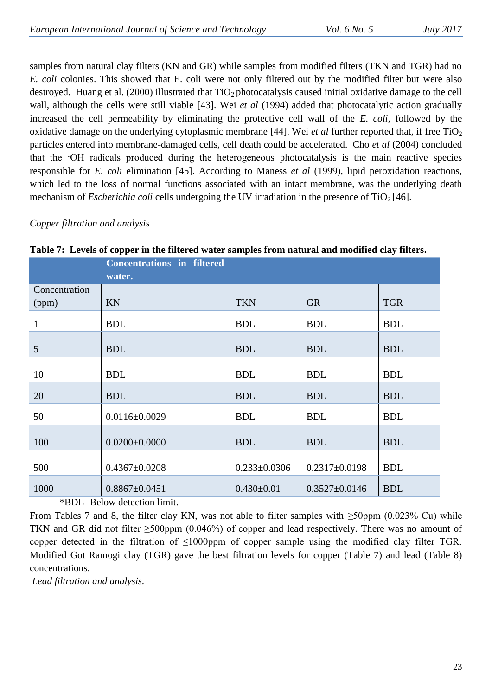samples from natural clay filters (KN and GR) while samples from modified filters (TKN and TGR) had no *E. coli* colonies. This showed that E. coli were not only filtered out by the modified filter but were also destroyed. Huang et al. (2000) illustrated that  $TiO<sub>2</sub>$  photocatalysis caused initial oxidative damage to the cell wall, although the cells were still viable [43]. Wei *et al* (1994) added that photocatalytic action gradually increased the cell permeability by eliminating the protective cell wall of the *E. coli*, followed by the oxidative damage on the underlying cytoplasmic membrane [44]. Wei *et al* further reported that, if free TiO<sub>2</sub> particles entered into membrane-damaged cells, cell death could be accelerated. Cho *et al* (2004) concluded that the ·OH radicals produced during the heterogeneous photocatalysis is the main reactive species responsible for *E. coli* elimination [45]. According to Maness *et al* (1999), lipid peroxidation reactions, which led to the loss of normal functions associated with an intact membrane, was the underlying death mechanism of *Escherichia coli* cells undergoing the UV irradiation in the presence of  $TiO<sub>2</sub>$  [46].

## *Copper filtration and analysis*

|               | <b>Concentrations in filtered</b> |                    |                     |            |  |  |  |  |
|---------------|-----------------------------------|--------------------|---------------------|------------|--|--|--|--|
|               | water.                            |                    |                     |            |  |  |  |  |
| Concentration |                                   |                    |                     |            |  |  |  |  |
| (ppm)         | KN                                | <b>TKN</b>         | <b>GR</b>           | <b>TGR</b> |  |  |  |  |
| $\mathbf{1}$  | <b>BDL</b>                        | <b>BDL</b>         | <b>BDL</b>          | <b>BDL</b> |  |  |  |  |
| 5             | <b>BDL</b>                        | <b>BDL</b>         | <b>BDL</b>          | <b>BDL</b> |  |  |  |  |
| 10            | <b>BDL</b>                        | <b>BDL</b>         | <b>BDL</b>          | <b>BDL</b> |  |  |  |  |
| 20            | <b>BDL</b>                        | <b>BDL</b>         | <b>BDL</b>          | <b>BDL</b> |  |  |  |  |
| 50            | $0.0116 \pm 0.0029$               | <b>BDL</b>         | <b>BDL</b>          | <b>BDL</b> |  |  |  |  |
| 100           | $0.0200 \pm 0.0000$               | <b>BDL</b>         | <b>BDL</b>          | <b>BDL</b> |  |  |  |  |
| 500           | $0.4367 \pm 0.0208$               | $0.233 \pm 0.0306$ | $0.2317 \pm 0.0198$ | <b>BDL</b> |  |  |  |  |
| 1000          | $0.8867 \pm 0.0451$               | $0.430 \pm 0.01$   | $0.3527 \pm 0.0146$ | <b>BDL</b> |  |  |  |  |

**Table 7: Levels of copper in the filtered water samples from natural and modified clay filters.**

\*BDL- Below detection limit.

From Tables 7 and 8, the filter clay KN, was not able to filter samples with  $\geq$ 50ppm (0.023% Cu) while TKN and GR did not filter  $\geq 500$ ppm (0.046%) of copper and lead respectively. There was no amount of copper detected in the filtration of ≤1000ppm of copper sample using the modified clay filter TGR. Modified Got Ramogi clay (TGR) gave the best filtration levels for copper (Table 7) and lead (Table 8) concentrations.

*Lead filtration and analysis.*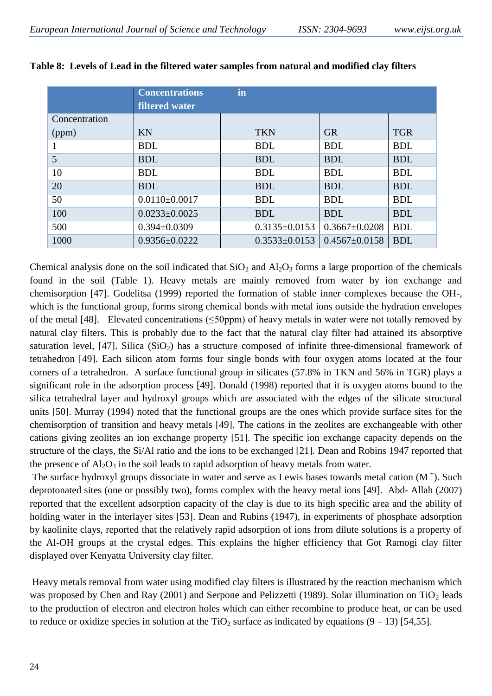|               | <b>Concentrations</b><br><b>filtered water</b> | in                  |                     |            |
|---------------|------------------------------------------------|---------------------|---------------------|------------|
| Concentration |                                                |                     |                     |            |
| (ppm)         | <b>KN</b>                                      | <b>TKN</b>          | <b>GR</b>           | <b>TGR</b> |
|               | <b>BDL</b>                                     | <b>BDL</b>          | <b>BDL</b>          | <b>BDL</b> |
| 5             | <b>BDL</b>                                     | <b>BDL</b>          | <b>BDL</b>          | <b>BDL</b> |
| 10            | <b>BDL</b>                                     | <b>BDL</b>          | <b>BDL</b>          | <b>BDL</b> |
| 20            | <b>BDL</b>                                     | <b>BDL</b>          | <b>BDL</b>          | <b>BDL</b> |
| 50            | $0.0110\pm0.0017$                              | <b>BDL</b>          | <b>BDL</b>          | <b>BDL</b> |
| 100           | $0.0233 \pm 0.0025$                            | <b>BDL</b>          | <b>BDL</b>          | <b>BDL</b> |
| 500           | $0.394 \pm 0.0309$                             | $0.3135 \pm 0.0153$ | $0.3667 \pm 0.0208$ | <b>BDL</b> |
| 1000          | $0.9356 \pm 0.0222$                            | $0.3533 \pm 0.0153$ | $0.4567 \pm 0.0158$ | <b>BDL</b> |

|  |  |  |  | Table 8: Levels of Lead in the filtered water samples from natural and modified clay filters |  |  |  |
|--|--|--|--|----------------------------------------------------------------------------------------------|--|--|--|
|--|--|--|--|----------------------------------------------------------------------------------------------|--|--|--|

Chemical analysis done on the soil indicated that  $SiO_2$  and  $Al_2O_3$  forms a large proportion of the chemicals found in the soil (Table 1). Heavy metals are mainly removed from water by ion exchange and chemisorption [47]. Godelitsa (1999) reported the formation of stable inner complexes because the OH-, which is the functional group, forms strong chemical bonds with metal ions outside the hydration envelopes of the metal [48]. Elevated concentrations (≤50ppm) of heavy metals in water were not totally removed by natural clay filters. This is probably due to the fact that the natural clay filter had attained its absorptive saturation level, [47]. Silica  $(SiO<sub>2</sub>)$  has a structure composed of infinite three-dimensional framework of tetrahedron [49]. Each silicon atom forms four single bonds with four oxygen atoms located at the four corners of a tetrahedron. A surface functional group in silicates (57.8% in TKN and 56% in TGR) plays a significant role in the adsorption process [49]. Donald (1998) reported that it is oxygen atoms bound to the silica tetrahedral layer and hydroxyl groups which are associated with the edges of the silicate structural units [50]. Murray (1994) noted that the functional groups are the ones which provide surface sites for the chemisorption of transition and heavy metals [49]. The cations in the zeolites are exchangeable with other cations giving zeolites an ion exchange property [51]. The specific ion exchange capacity depends on the structure of the clays, the Si/Al ratio and the ions to be exchanged [21]. Dean and Robins 1947 reported that the presence of  $Al_2O_3$  in the soil leads to rapid adsorption of heavy metals from water.

The surface hydroxyl groups dissociate in water and serve as Lewis bases towards metal cation  $(M^+)$ . Such deprotonated sites (one or possibly two), forms complex with the heavy metal ions [49]. Abd- Allah (2007) reported that the excellent adsorption capacity of the clay is due to its high specific area and the ability of holding water in the interlayer sites [53]. Dean and Rubins (1947), in experiments of phosphate adsorption by kaolinite clays, reported that the relatively rapid adsorption of ions from dilute solutions is a property of the Al-OH groups at the crystal edges. This explains the higher efficiency that Got Ramogi clay filter displayed over Kenyatta University clay filter.

Heavy metals removal from water using modified clay filters is illustrated by the reaction mechanism which was proposed by Chen and Ray (2001) and Serpone and Pelizzetti (1989). Solar illumination on TiO<sub>2</sub> leads to the production of electron and electron holes which can either recombine to produce heat, or can be used to reduce or oxidize species in solution at the TiO<sub>2</sub> surface as indicated by equations  $(9 - 13)$  [54,55].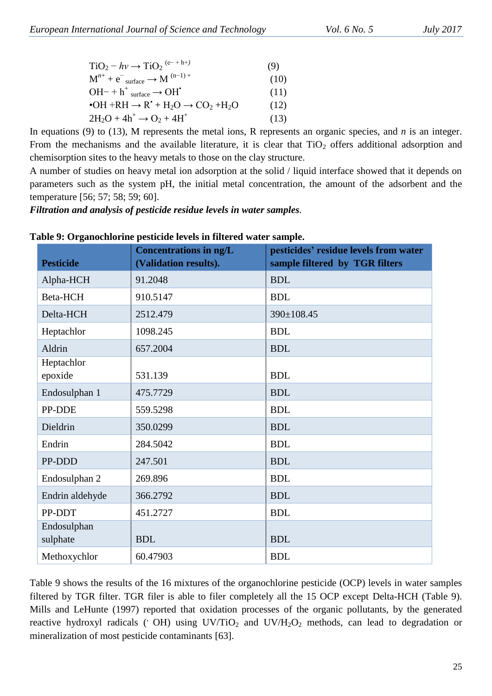| $TiO_2 - hv \rightarrow TiO_2$ <sup>(e-+h+)</sup>                                                                                   | (9)  |
|-------------------------------------------------------------------------------------------------------------------------------------|------|
| $M^{n+} + e^-$ surface $\rightarrow M^{(n-1)+}$                                                                                     | (10) |
| $OH^{-} + h^{+}$ surface $\rightarrow OH^{*}$                                                                                       | (11) |
| $\bullet$ OH +RH $\rightarrow$ R <sup><math>\bullet</math></sup> + H <sub>2</sub> O $\rightarrow$ CO <sub>2</sub> +H <sub>2</sub> O | (12) |
| $2H_2O + 4h^+ \rightarrow O_2 + 4H^+$                                                                                               | (13) |

In equations (9) to (13), M represents the metal ions, R represents an organic species, and *n* is an integer. From the mechanisms and the available literature, it is clear that  $TiO<sub>2</sub>$  offers additional adsorption and chemisorption sites to the heavy metals to those on the clay structure.

A number of studies on heavy metal ion adsorption at the solid / liquid interface showed that it depends on parameters such as the system pH, the initial metal concentration, the amount of the adsorbent and the temperature [56; 57; 58; 59; 60].

*Filtration and analysis of pesticide residue levels in water samples.*

| <b>Pesticide</b>        | <b>Concentrations in ng/L</b><br>(Validation results). | pesticides' residue levels from water<br>sample filtered by TGR filters |
|-------------------------|--------------------------------------------------------|-------------------------------------------------------------------------|
| Alpha-HCH               | 91.2048                                                | <b>BDL</b>                                                              |
| Beta-HCH                | 910.5147                                               | <b>BDL</b>                                                              |
| Delta-HCH               | 2512.479                                               | 390±108.45                                                              |
| Heptachlor              | 1098.245                                               | <b>BDL</b>                                                              |
| Aldrin                  | 657.2004                                               | <b>BDL</b>                                                              |
| Heptachlor<br>epoxide   | 531.139                                                | <b>BDL</b>                                                              |
| Endosulphan 1           | 475.7729                                               | <b>BDL</b>                                                              |
| PP-DDE                  | 559.5298                                               | <b>BDL</b>                                                              |
| Dieldrin                | 350.0299                                               | <b>BDL</b>                                                              |
| Endrin                  | 284.5042                                               | <b>BDL</b>                                                              |
| PP-DDD                  | 247.501                                                | <b>BDL</b>                                                              |
| Endosulphan 2           | 269.896                                                | <b>BDL</b>                                                              |
| Endrin aldehyde         | 366.2792                                               | <b>BDL</b>                                                              |
| PP-DDT                  | 451.2727                                               | <b>BDL</b>                                                              |
| Endosulphan<br>sulphate | <b>BDL</b>                                             | <b>BDL</b>                                                              |
| Methoxychlor            | 60.47903                                               | <b>BDL</b>                                                              |

| Table 9: Organochlorine pesticide levels in filtered water sample. |  |
|--------------------------------------------------------------------|--|
|--------------------------------------------------------------------|--|

Table 9 shows the results of the 16 mixtures of the organochlorine pesticide (OCP) levels in water samples filtered by TGR filter. TGR filer is able to filer completely all the 15 OCP except Delta-HCH (Table 9). Mills and LeHunte (1997) reported that oxidation processes of the organic pollutants, by the generated reactive hydroxyl radicals ( $\overline{OH}$ ) using UV/TiO<sub>2</sub> and UV/H<sub>2</sub>O<sub>2</sub> methods, can lead to degradation or mineralization of most pesticide contaminants [63].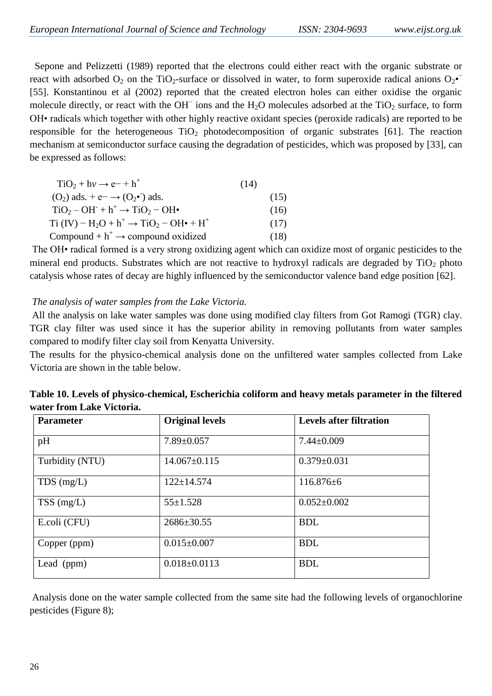Sepone and Pelizzetti (1989) reported that the electrons could either react with the organic substrate or react with adsorbed  $O_2$  on the TiO<sub>2</sub>-surface or dissolved in water, to form superoxide radical anions  $O_2$ • [55]. Konstantinou et al (2002) reported that the created electron holes can either oxidise the organic molecule directly, or react with the OH<sup>−</sup> ions and the H<sub>2</sub>O molecules adsorbed at the TiO<sub>2</sub> surface, to form OH• radicals which together with other highly reactive oxidant species (peroxide radicals) are reported to be responsible for the heterogeneous  $TiO<sub>2</sub>$  photodecomposition of organic substrates [61]. The reaction mechanism at semiconductor surface causing the degradation of pesticides, which was proposed by [33], can be expressed as follows:

| $TiO2 + h\nu \rightarrow e^- + h^+$                                                               | (14) |      |
|---------------------------------------------------------------------------------------------------|------|------|
| $(O_2)$ ads. + e $\rightarrow$ $(O_2 \bullet)$ ads.                                               |      | (15) |
| $TiO2 - OH+ + h+ \rightarrow TiO2 - OH•$                                                          |      | (16) |
| Ti (IV) – H <sub>2</sub> O + h <sup>+</sup> $\rightarrow$ TiO <sub>2</sub> – OH• + H <sup>+</sup> |      | (17) |
| Compound $+ h^+ \rightarrow$ compound oxidized                                                    |      | (18) |

The OH• radical formed is a very strong oxidizing agent which can oxidize most of organic pesticides to the mineral end products. Substrates which are not reactive to hydroxyl radicals are degraded by  $TiO<sub>2</sub>$  photo catalysis whose rates of decay are highly influenced by the semiconductor valence band edge position [62].

## *The analysis of water samples from the Lake Victoria.*

All the analysis on lake water samples was done using modified clay filters from Got Ramogi (TGR) clay. TGR clay filter was used since it has the superior ability in removing pollutants from water samples compared to modify filter clay soil from Kenyatta University.

The results for the physico-chemical analysis done on the unfiltered water samples collected from Lake Victoria are shown in the table below.

| <b>Parameter</b> | <b>Original levels</b> | <b>Levels after filtration</b> |
|------------------|------------------------|--------------------------------|
| pH               | $7.89 \pm 0.057$       | $7.44 \pm 0.009$               |
| Turbidity (NTU)  | $14.067 \pm 0.115$     | $0.379 \pm 0.031$              |
| $TDS$ (mg/L)     | $122 \pm 14.574$       | $116.876\pm 6$                 |
| $TSS$ (mg/L)     | $55 \pm 1.528$         | $0.052 \pm 0.002$              |
| E.coli (CFU)     | $2686 \pm 30.55$       | <b>BDL</b>                     |
| Copper (ppm)     | $0.015 \pm 0.007$      | <b>BDL</b>                     |
| Lead (ppm)       | $0.018 \pm 0.0113$     | <b>BDL</b>                     |

**Table 10. Levels of physico-chemical, Escherichia coliform and heavy metals parameter in the filtered water from Lake Victoria.**

Analysis done on the water sample collected from the same site had the following levels of organochlorine pesticides (Figure 8);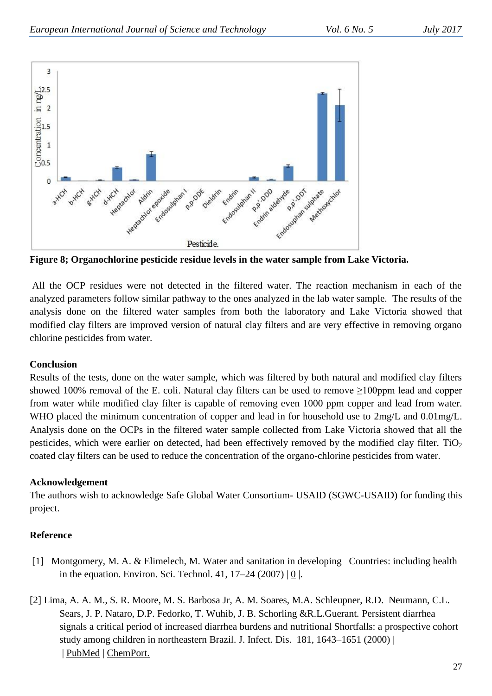

**Figure 8; Organochlorine pesticide residue levels in the water sample from Lake Victoria.**

All the OCP residues were not detected in the filtered water. The reaction mechanism in each of the analyzed parameters follow similar pathway to the ones analyzed in the lab water sample. The results of the analysis done on the filtered water samples from both the laboratory and Lake Victoria showed that modified clay filters are improved version of natural clay filters and are very effective in removing organo chlorine pesticides from water.

#### **Conclusion**

Results of the tests, done on the water sample, which was filtered by both natural and modified clay filters showed 100% removal of the E. coli. Natural clay filters can be used to remove  $\geq$ 100ppm lead and copper from water while modified clay filter is capable of removing even 1000 ppm copper and lead from water. WHO placed the minimum concentration of copper and lead in for household use to  $2mg/L$  and 0.01mg/L. Analysis done on the OCPs in the filtered water sample collected from Lake Victoria showed that all the pesticides, which were earlier on detected, had been effectively removed by the modified clay filter.  $TiO<sub>2</sub>$ coated clay filters can be used to reduce the concentration of the organo-chlorine pesticides from water.

## **Acknowledgement**

The authors wish to acknowledge Safe Global Water Consortium- USAID (SGWC-USAID) for funding this project.

## **Reference**

- [1] Montgomery, M. A. & Elimelech, M. Water and sanitation in developing Countries: including health in the equation. Environ. Sci. Technol. 41, 17–24 (2007) | [0](http://www.ncbi.nlm.nih.gov/entrez/query.fcgi?holding=npg&cmd=Retrieve&db=PubMed&list_uids=17265923&dopt=Abstract) |.
- [2] Lima, A. A. M., S. R. Moore, M. S. Barbosa Jr, A. M. Soares, M.A. Schleupner, R.D. Neumann, C.L. Sears, J. P. Nataro, D.P. Fedorko, T. Wuhib, J. B. Schorling &R.L.Guerant. Persistent diarrhea signals a critical period of increased diarrhea burdens and nutritional Shortfalls: a prospective cohort study among children in northeastern Brazil. J. Infect. Dis. 181, 1643–1651 (2000) | | [PubMed](http://www.ncbi.nlm.nih.gov/entrez/query.fcgi?holding=npg&cmd=Retrieve&db=PubMed&list_uids=10823764&dopt=Abstract) | [ChemPort.](http://chemport.cas.org/cgi-bin/sdcgi?APP=ftslink&action=reflink&origin=npg&version=1.0&coi=1:STN:280:DC%2BD3c3otlOgsA%3D%3D&pissn=0028-0836&pyear=2008&md5=6a0592715986d8fde051d4109cdac2d2)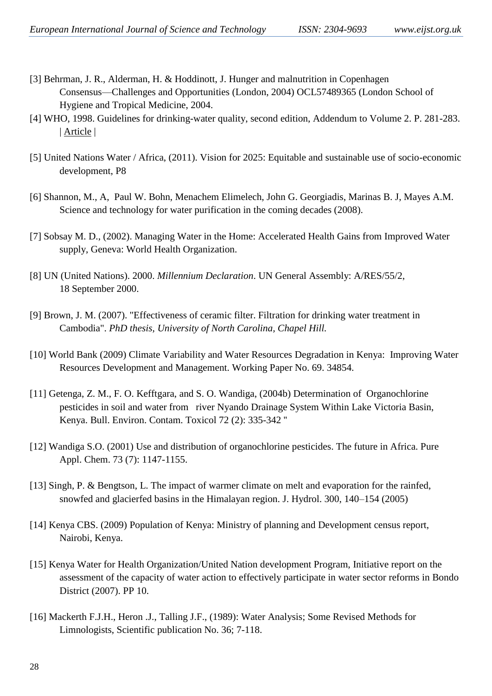- [3] Behrman, J. R., Alderman, H. & Hoddinott, J. Hunger and malnutrition in Copenhagen Consensus—Challenges and Opportunities (London, 2004) OCL57489365 (London School of Hygiene and Tropical Medicine, 2004.
- [4] WHO, 1998. Guidelines for drinking-water quality, second edition, Addendum to Volume 2. P. 281-283. | [Article](http://dx.doi.org/10.1016/j.jhydrol.2004.06.005) |
- [5] United Nations Water / Africa, (2011). Vision for 2025: Equitable and sustainable use of socio-economic development, P8
- [6] Shannon, M., A, Paul W. Bohn, Menachem Elimelech, John G. Georgiadis, Marinas B. J, Mayes A.M. Science and technology for water purification in the coming decades (2008).
- [7] Sobsay M. D., (2002). Managing Water in the Home: Accelerated Health Gains from Improved Water supply, Geneva: World Health Organization.
- [8] UN (United Nations). 2000. *Millennium Declaration*. UN General Assembly: A/RES/55/2, 18 September 2000.
- [9] Brown, J. M. (2007). "Effectiveness of ceramic filter. Filtration for drinking water treatment in Cambodia". *PhD thesis, University of North Carolina, Chapel Hill.*
- [10] World Bank (2009) Climate Variability and Water Resources Degradation in Kenya: Improving Water Resources Development and Management. Working Paper No. 69. 34854.
- [11] Getenga, Z. M., F. O. Kefftgara, and S. O. Wandiga, (2004b) Determination of Organochlorine pesticides in soil and water from river Nyando Drainage System Within Lake Victoria Basin, Kenya. Bull. Environ. Contam. Toxicol 72 (2): 335-342 ''
- [12] Wandiga S.O. (2001) Use and distribution of organochlorine pesticides. The future in Africa. Pure Appl. Chem. 73 (7): 1147-1155.
- [13] Singh, P. & Bengtson, L. The impact of warmer climate on melt and evaporation for the rainfed, snowfed and glacierfed basins in the Himalayan region. J. Hydrol. 300, 140–154 (2005)
- [14] Kenya CBS. (2009) Population of Kenya: Ministry of planning and Development census report, Nairobi, Kenya.
- [15] Kenya Water for Health Organization/United Nation development Program, Initiative report on the assessment of the capacity of water action to effectively participate in water sector reforms in Bondo District (2007). PP 10.
- [16] Mackerth F.J.H., Heron .J., Talling J.F., (1989): Water Analysis; Some Revised Methods for Limnologists, Scientific publication No. 36; 7-118.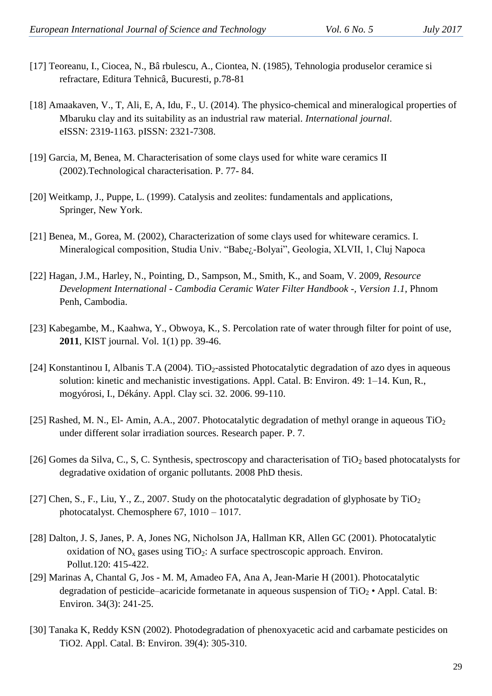- [17] Teoreanu, I., Ciocea, N., Bâ rbulescu, A., Ciontea, N. (1985), Tehnologia produselor ceramice si refractare, Editura Tehnicâ, Bucuresti, p.78-81
- [18] Amaakaven, V., T, Ali, E, A, Idu, F., U. (2014). The physico-chemical and mineralogical properties of Mbaruku clay and its suitability as an industrial raw material. *International journal*. eISSN: 2319-1163. pISSN: 2321-7308.
- [19] Garcia, M, Benea, M. Characterisation of some clays used for white ware ceramics II (2002).Technological characterisation. P. 77- 84.
- [20] Weitkamp, J., Puppe, L. (1999). Catalysis and zeolites: fundamentals and applications, Springer, New York.
- [21] Benea, M., Gorea, M. (2002), Characterization of some clays used for whiteware ceramics. I. Mineralogical composition, Studia Univ. "Babe<sub>l</sub>-Bolyai", Geologia, XLVII, 1, Cluj Napoca
- [22] Hagan, J.M., Harley, N., Pointing, D., Sampson, M., Smith, K., and Soam, V. 2009, *Resource Development International - Cambodia Ceramic Water Filter Handbook -, Version 1.1,* Phnom Penh, Cambodia.
- [23] Kabegambe, M., Kaahwa, Y., Obwoya, K., S. Percolation rate of water through filter for point of use, **2011**, KIST journal. Vol. 1(1) pp. 39-46.
- [24] Konstantinou I, Albanis T.A (2004). TiO<sub>2</sub>-assisted Photocatalytic degradation of azo dyes in aqueous solution: kinetic and mechanistic investigations. Appl. Catal. B: Environ. 49: 1–14. Kun, R., mogyórosi, I., Dékány. Appl. Clay sci. 32. 2006. 99-110.
- [25] Rashed, M. N., El- Amin, A.A., 2007. Photocatalytic degradation of methyl orange in aqueous  $TiO<sub>2</sub>$ under different solar irradiation sources. Research paper. P. 7.
- [26] Gomes da Silva, C., S, C. Synthesis, spectroscopy and characterisation of  $TiO<sub>2</sub>$  based photocatalysts for degradative oxidation of organic pollutants. 2008 PhD thesis.
- [27] Chen, S., F., Liu, Y., Z., 2007. Study on the photocatalytic degradation of glyphosate by  $TiO<sub>2</sub>$ photocatalyst. Chemosphere 67, 1010 – 1017.
- [28] Dalton, J. S, Janes, P. A, Jones NG, Nicholson JA, Hallman KR, Allen GC (2001). Photocatalytic oxidation of  $NO<sub>x</sub>$  gases using TiO<sub>2</sub>: A surface spectroscopic approach. Environ. Pollut.120: 415-422.
- [29] Marinas A, Chantal G, Jos M. M, Amadeo FA, Ana A, Jean-Marie H (2001). Photocatalytic degradation of pesticide–acaricide formetanate in aqueous suspension of  $TiO<sub>2</sub>$  • Appl. Catal. B: Environ. 34(3): 241-25.
- [30] Tanaka K, Reddy KSN (2002). Photodegradation of phenoxyacetic acid and carbamate pesticides on TiO2. Appl. Catal. B: Environ. 39(4): 305-310.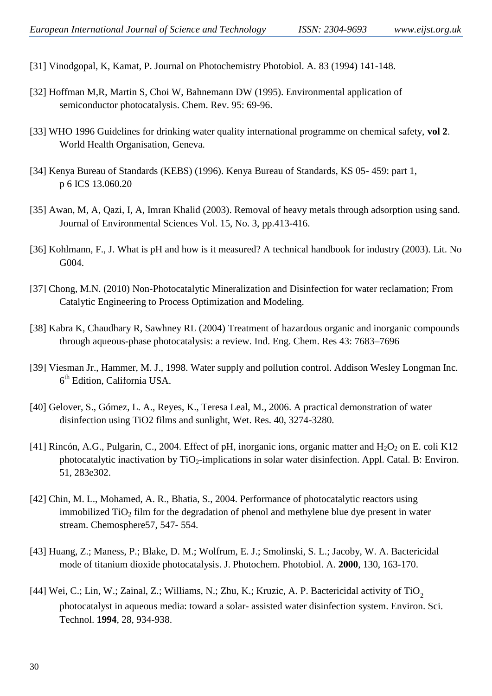- [31] Vinodgopal, K, Kamat, P. Journal on Photochemistry Photobiol. A. 83 (1994) 141-148.
- [32] Hoffman M,R, Martin S, Choi W, Bahnemann DW (1995). Environmental application of semiconductor photocatalysis. Chem. Rev. 95: 69-96.
- [33] WHO 1996 Guidelines for drinking water quality international programme on chemical safety, **vol 2**. World Health Organisation, Geneva.
- [34] Kenya Bureau of Standards (KEBS) (1996). Kenya Bureau of Standards, KS 05- 459: part 1, p 6 ICS 13.060.20
- [35] Awan, M, A, Qazi, I, A, Imran Khalid (2003). Removal of heavy metals through adsorption using sand. Journal of Environmental Sciences Vol. 15, No. 3, pp.413-416.
- [36] Kohlmann, F., J. What is pH and how is it measured? A technical handbook for industry (2003). Lit. No G<sub>0</sub>04.
- [37] Chong, M.N. (2010) Non-Photocatalytic Mineralization and Disinfection for water reclamation; From Catalytic Engineering to Process Optimization and Modeling.
- [38] Kabra K, Chaudhary R, Sawhney RL (2004) Treatment of hazardous organic and inorganic compounds through aqueous-phase photocatalysis: a review. Ind. Eng. Chem. Res 43: 7683–7696
- [39] Viesman Jr., Hammer, M. J., 1998. Water supply and pollution control. Addison Wesley Longman Inc. 6<sup>th</sup> Edition, California USA.
- [40] Gelover, S., Gómez, L. A., Reyes, K., Teresa Leal, M., 2006. A practical demonstration of water disinfection using TiO2 films and sunlight, Wet. Res. 40, 3274-3280.
- [41] Rincón, A.G., Pulgarin, C., 2004. Effect of pH, inorganic ions, organic matter and  $H_2O_2$  on E. coli K12 photocatalytic inactivation by  $TiO<sub>2</sub>$ -implications in solar water disinfection. Appl. Catal. B: Environ. 51, 283e302.
- [42] Chin, M. L., Mohamed, A. R., Bhatia, S., 2004. Performance of photocatalytic reactors using immobilized  $TiO<sub>2</sub>$  film for the degradation of phenol and methylene blue dye present in water stream. Chemosphere57, 547- 554.
- [43] Huang, Z.; Maness, P.; Blake, D. M.; Wolfrum, E. J.; Smolinski, S. L.; Jacoby, W. A. Bactericidal mode of titanium dioxide photocatalysis. J. Photochem. Photobiol. A. **2000**, 130, 163-170.
- [44] Wei, C.; Lin, W.; Zainal, Z.; Williams, N.; Zhu, K.; Kruzic, A. P. Bactericidal activity of TiO<sub>2</sub> photocatalyst in aqueous media: toward a solar- assisted water disinfection system. Environ. Sci. Technol. **1994**, 28, 934-938.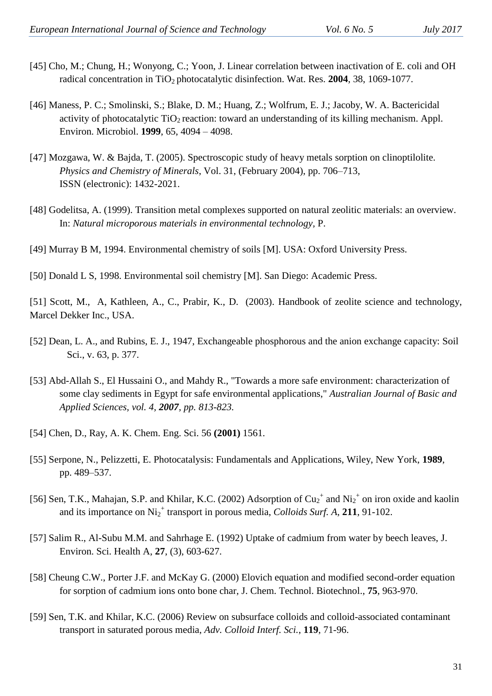- [45] Cho, M.; Chung, H.; Wonyong, C.; Yoon, J. Linear correlation between inactivation of E. coli and OH radical concentration in TiO<sub>2</sub> photocatalytic disinfection. Wat. Res. 2004, 38, 1069-1077.
- [46] Maness, P. C.; Smolinski, S.; Blake, D. M.; Huang, Z.; Wolfrum, E. J.; Jacoby, W. A. Bactericidal activity of photocatalytic  $TiO<sub>2</sub>$  reaction: toward an understanding of its killing mechanism. Appl. Environ. Microbiol. **1999**, 65, 4094 – 4098.
- [47] Mozgawa, W. & Bajda, T. (2005). Spectroscopic study of heavy metals sorption on clinoptilolite. *Physics and Chemistry of Minerals*, Vol. 31, (February 2004), pp. 706–713, ISSN (electronic): 1432-2021.
- [48] Godelitsa, A. (1999). Transition metal complexes supported on natural zeolitic materials: an overview. In: *Natural microporous materials in environmental technology,* P.
- [49] Murray B M, 1994. Environmental chemistry of soils [M]. USA: Oxford University Press.
- [50] Donald L S, 1998. Environmental soil chemistry [M]. San Diego: Academic Press.

[51] Scott, M., A, Kathleen, A., C., Prabir, K., D. (2003). Handbook of zeolite science and technology, Marcel Dekker Inc., USA.

- [52] Dean, L. A., and Rubins, E. J., 1947, Exchangeable phosphorous and the anion exchange capacity: Soil Sci., v. 63, p. 377.
- [53] Abd-Allah S., El Hussaini O., and Mahdy R., "Towards a more safe environment: characterization of some clay sediments in Egypt for safe environmental applications," *Australian Journal of Basic and Applied Sciences, vol. 4, 2007, pp. 813-823.*
- [54] Chen, D., Ray, A. K. Chem. Eng. Sci. 56 **(2001)** 1561.
- [55] Serpone, N., Pelizzetti, E. Photocatalysis: Fundamentals and Applications, Wiley, New York, **1989**, pp. 489–537.
- [56] Sen, T.K., Mahajan, S.P. and Khilar, K.C. (2002) Adsorption of  $Cu_2^+$  and  $Ni_2^+$  on iron oxide and kaolin and its importance on Ni<sub>2</sub><sup>+</sup> transport in porous media, *Colloids Surf. A*, 211, 91-102.
- [57] Salim R., Al-Subu M.M. and Sahrhage E. (1992) Uptake of cadmium from water by beech leaves, J. Environ. Sci. Health A, **27**, (3), 603-627.
- [58] Cheung C.W., Porter J.F. and McKay G. (2000) Elovich equation and modified second-order equation for sorption of cadmium ions onto bone char, J. Chem. Technol. Biotechnol., **75**, 963-970.
- [59] Sen, T.K. and Khilar, K.C. (2006) Review on subsurface colloids and colloid-associated contaminant transport in saturated porous media, *Adv. Colloid Interf. Sci.*, **119**, 71-96.